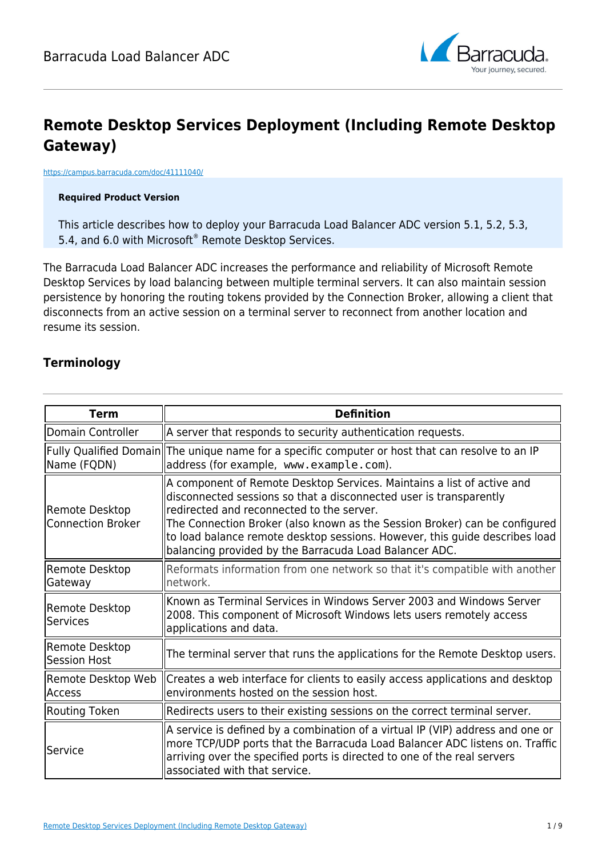

# **Remote Desktop Services Deployment (Including Remote Desktop Gateway)**

#### <https://campus.barracuda.com/doc/41111040/>

#### **Required Product Version**

This article describes how to deploy your Barracuda Load Balancer ADC version 5.1, 5.2, 5.3, 5.4, and 6.0 with Microsoft® Remote Desktop Services.

The Barracuda Load Balancer ADC increases the performance and reliability of Microsoft Remote Desktop Services by load balancing between multiple terminal servers. It can also maintain session persistence by honoring the routing tokens provided by the Connection Broker, allowing a client that disconnects from an active session on a terminal server to reconnect from another location and resume its session.

#### **Terminology**

| <b>Term</b>                                | <b>Definition</b>                                                                                                                                                                                                                                                                                                                                                                                                |
|--------------------------------------------|------------------------------------------------------------------------------------------------------------------------------------------------------------------------------------------------------------------------------------------------------------------------------------------------------------------------------------------------------------------------------------------------------------------|
| Domain Controller                          | A server that responds to security authentication requests.                                                                                                                                                                                                                                                                                                                                                      |
| Name (FQDN)                                | Fully Qualified Domain  The unique name for a specific computer or host that can resolve to an IP<br>address (for example, www.example.com).                                                                                                                                                                                                                                                                     |
| Remote Desktop<br><b>Connection Broker</b> | A component of Remote Desktop Services. Maintains a list of active and<br>disconnected sessions so that a disconnected user is transparently<br>redirected and reconnected to the server.<br>The Connection Broker (also known as the Session Broker) can be configured<br>to load balance remote desktop sessions. However, this guide describes load<br>balancing provided by the Barracuda Load Balancer ADC. |
| Remote Desktop<br>Gateway                  | Reformats information from one network so that it's compatible with another<br>network.                                                                                                                                                                                                                                                                                                                          |
| Remote Desktop<br><b>Services</b>          | Known as Terminal Services in Windows Server 2003 and Windows Server<br>2008. This component of Microsoft Windows lets users remotely access<br>applications and data.                                                                                                                                                                                                                                           |
| Remote Desktop<br><b>Session Host</b>      | The terminal server that runs the applications for the Remote Desktop users.                                                                                                                                                                                                                                                                                                                                     |
| Remote Desktop Web<br>lAccess              | Creates a web interface for clients to easily access applications and desktop<br>environments hosted on the session host.                                                                                                                                                                                                                                                                                        |
| Routing Token                              | Redirects users to their existing sessions on the correct terminal server.                                                                                                                                                                                                                                                                                                                                       |
| lService                                   | A service is defined by a combination of a virtual IP (VIP) address and one or<br>more TCP/UDP ports that the Barracuda Load Balancer ADC listens on. Traffic<br>arriving over the specified ports is directed to one of the real servers<br>lassociated with that service.                                                                                                                                      |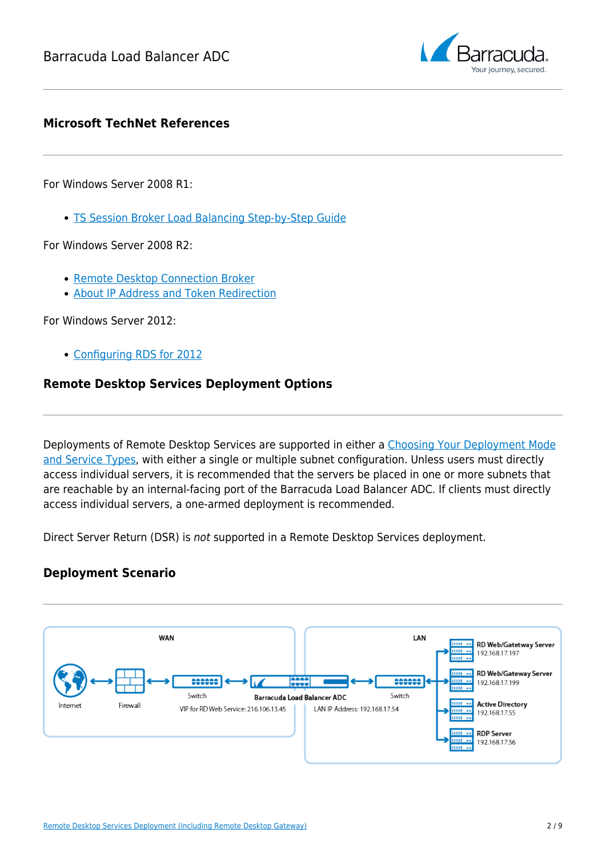

### **Microsoft TechNet References**

For Windows Server 2008 R1:

[TS Session Broker Load Balancing Step-by-Step Guide](http://technet.microsoft.com/en-us/library/cc772418(WS.10).aspx)

For Windows Server 2008 R2:

- [Remote Desktop Connection Broker](http://technet.microsoft.com/en-us/library/cc771419.aspx)
- **[About IP Address and Token Redirection](http://technet.microsoft.com/en-us/library/cc732852.aspx)**

For Windows Server 2012:

[Configuring RDS for 2012](http://blogs.technet.com/b/yungchou/archive/2013/02/07/remote-desktop-services-rds-quick-start-deployment-for-remoteapp-windows-server-2012-style.aspx)

### **Remote Desktop Services Deployment Options**

Deployments of Remote Desktop Services are supported in either a [Choosing Your Deployment Mode](http://campus.barracuda.com/doc/26575312/) [and Service Types](http://campus.barracuda.com/doc/26575312/), with either a single or multiple subnet configuration. Unless users must directly access individual servers, it is recommended that the servers be placed in one or more subnets that are reachable by an internal-facing port of the Barracuda Load Balancer ADC. If clients must directly access individual servers, a one-armed deployment is recommended.

Direct Server Return (DSR) is not supported in a Remote Desktop Services deployment.

### **Deployment Scenario**

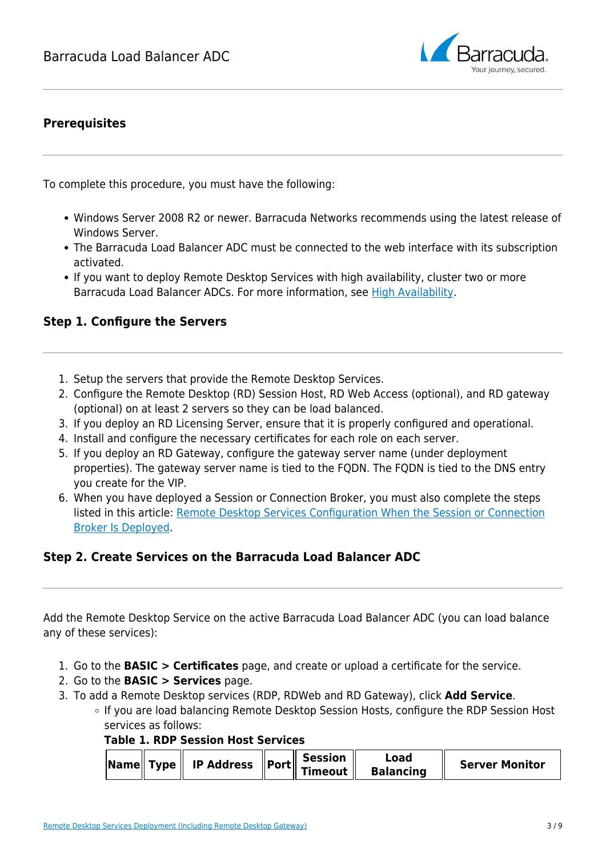

## **Prerequisites**

To complete this procedure, you must have the following:

- Windows Server 2008 R2 or newer. Barracuda Networks recommends using the latest release of Windows Server.
- The Barracuda Load Balancer ADC must be connected to the web interface with its subscription activated.
- If you want to deploy Remote Desktop Services with high availability, cluster two or more Barracuda Load Balancer ADCs. For more information, see [High Availability.](http://10.128.32.119:8090/techlib/display/LBADCv50/High+Availability)

### **Step 1. Configure the Servers**

- 1. Setup the servers that provide the Remote Desktop Services.
- 2. Configure the Remote Desktop (RD) Session Host, RD Web Access (optional), and RD gateway (optional) on at least 2 servers so they can be load balanced.
- 3. If you deploy an RD Licensing Server, ensure that it is properly configured and operational.
- 4. Install and configure the necessary certificates for each role on each server.
- 5. If you deploy an RD Gateway, configure the gateway server name (under deployment properties). The gateway server name is tied to the FQDN. The FQDN is tied to the DNS entry you create for the VIP.
- 6. When you have deployed a Session or Connection Broker, you must also complete the steps listed in this article: [Remote Desktop Services Configuration When the Session or Connection](http://campus.barracuda.com/doc/45027933/) [Broker Is Deployed.](http://campus.barracuda.com/doc/45027933/)

### **Step 2. Create Services on the Barracuda Load Balancer ADC**

Add the Remote Desktop Service on the active Barracuda Load Balancer ADC (you can load balance any of these services):

- 1. Go to the **BASIC > Certificates** page, and create or upload a certificate for the service.
- 2. Go to the **BASIC > Services** page.
- 3. To add a Remote Desktop services (RDP, RDWeb and RD Gateway), click **Add Service**.
	- If you are load balancing Remote Desktop Session Hosts, configure the RDP Session Host services as follows:

#### **Table 1. RDP Session Host Services**

| $\sqrt{\frac{1}{2}}$ Type   IP Address $\sqrt{\frac{1}{2}}$ Port   Session | Load<br><b>Server Monitor</b><br><b>Balancing</b> |
|----------------------------------------------------------------------------|---------------------------------------------------|
|----------------------------------------------------------------------------|---------------------------------------------------|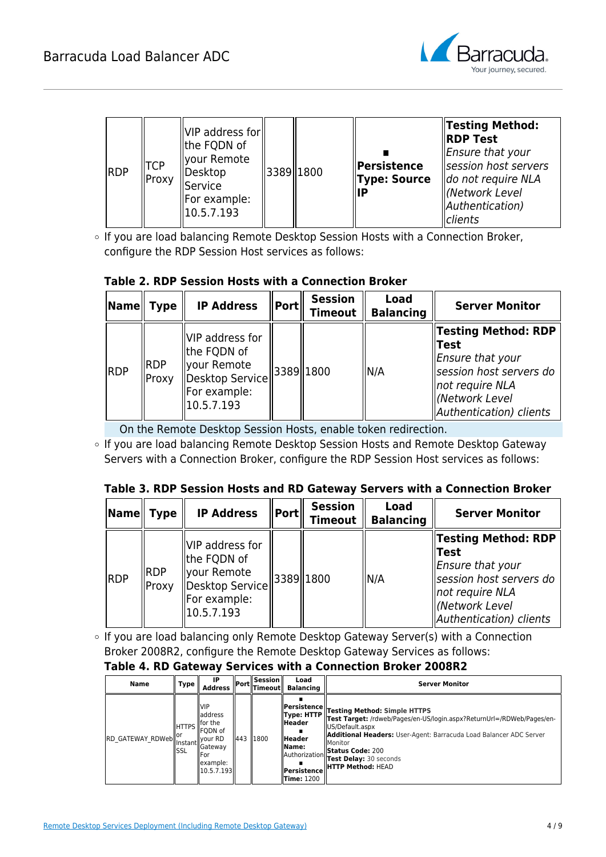![](_page_3_Picture_1.jpeg)

| <b>RDP</b> | <b>TCP</b><br>Proxy | VIP address for<br>lthe FQDN of<br>llyour Remote<br>  Desktop<br>Service<br>  For example:<br>$ 10.5.7.193\rangle$ | 3389  1800 |  | Persistence<br><b>Type: Source</b><br>IIP | <b>Testing Method:</b><br><b>RDP Test</b><br>Ensure that your<br>session host servers<br>do not require NLA<br>(Network Level<br>Authentication)<br>clients |
|------------|---------------------|--------------------------------------------------------------------------------------------------------------------|------------|--|-------------------------------------------|-------------------------------------------------------------------------------------------------------------------------------------------------------------|
|------------|---------------------|--------------------------------------------------------------------------------------------------------------------|------------|--|-------------------------------------------|-------------------------------------------------------------------------------------------------------------------------------------------------------------|

o If you are load balancing Remote Desktop Session Hosts with a Connection Broker, configure the RDP Session Host services as follows:

### **Table 2. RDP Session Hosts with a Connection Broker**

| $\vert$ Name $\vert$ Type |                     | <b>IP Address</b>                                                                              | $ \mathsf{Port} $ | <b>Session</b><br><b>Timeout</b> | <b>Load</b><br><b>Balancing</b> | <b>Server Monitor</b>                                                                                                                                         |
|---------------------------|---------------------|------------------------------------------------------------------------------------------------|-------------------|----------------------------------|---------------------------------|---------------------------------------------------------------------------------------------------------------------------------------------------------------|
| <b>RDP</b>                | <b>RDP</b><br>Proxy | VIP address for<br>the FQDN of<br>vour Remote<br>Desktop Service<br>For example:<br>10.5.7.193 | 3389 1800         |                                  | N/A                             | <b>Testing Method: RDP</b><br>Test<br>Ensure that your<br>session host servers do<br>$\parallel$ not require NLA<br>(Network Level<br>Authentication) clients |

On the Remote Desktop Session Hosts, enable token redirection.

o If you are load balancing Remote Desktop Session Hosts and Remote Desktop Gateway Servers with a Connection Broker, configure the RDP Session Host services as follows:

#### **Table 3. RDP Session Hosts and RD Gateway Servers with a Connection Broker**

| Name   Type |                     | <b>IP Address</b>                                                                               | Port | <b>Session</b><br><b>Timeout</b> | <b>Load</b><br><b>Balancing</b> | <b>Server Monitor</b>                                                                                                                                             |
|-------------|---------------------|-------------------------------------------------------------------------------------------------|------|----------------------------------|---------------------------------|-------------------------------------------------------------------------------------------------------------------------------------------------------------------|
| <b>RDP</b>  | <b>RDP</b><br>Proxy | VIP address for<br>lthe FQDN of<br>vour Remote<br>Desktop Service<br>For example:<br>10.5.7.193 |      | 3389  1800                       | ' N/A                           | Testing Method: RDP <br><b>Test</b><br>Ensure that your!<br>session host servers do<br>$\parallel$ not require NLA<br>  (Network Level<br>Authentication) clients |

o If you are load balancing only Remote Desktop Gateway Server(s) with a Connection Broker 2008R2, configure the Remote Desktop Gateway Services as follows:

#### **Table 4. RD Gateway Services with a Connection Broker 2008R2**

| Name                  | Type                    | <b>IP</b><br><b>Address</b>                                                                                                                     |     | $S$ ession $\parallel$<br>-   Port  Timeout   - | Load<br>Balancing                                                                                                                            | <b>Server Monitor</b>                                                                                                                                                                                                                                                                                      |
|-----------------------|-------------------------|-------------------------------------------------------------------------------------------------------------------------------------------------|-----|-------------------------------------------------|----------------------------------------------------------------------------------------------------------------------------------------------|------------------------------------------------------------------------------------------------------------------------------------------------------------------------------------------------------------------------------------------------------------------------------------------------------------|
| RD_GATEWAY_RDWeb   or | <b>IIHTTPS</b><br>lissl | <b>NIP</b><br>lladdress<br>llfor the<br><b>IFQDN</b> of<br>llvour RD<br><b>IlGateway</b><br>lFor<br>llexample:<br>$\left\  10.5.7.193 \right\ $ | 443 | 1800                                            | <b>  Persistence </b><br>Type: HTTP<br><b>Header</b><br><b>Header</b><br>  Name:<br>Authorization<br><b>Persistence</b><br><b>Time: 1200</b> | <b>Testing Method: Simple HTTPS</b><br>Test Target: /rdweb/Pages/en-US/login.aspx?ReturnUrl=/RDWeb/Pages/en-<br>lUS/Default.aspx<br><b>Additional Headers:</b> User-Agent: Barracuda Load Balancer ADC Server<br>lMonitor<br><b>Status Code: 200</b><br>Test Delay: 30 seconds<br><b>HTTP Method: HEAD</b> |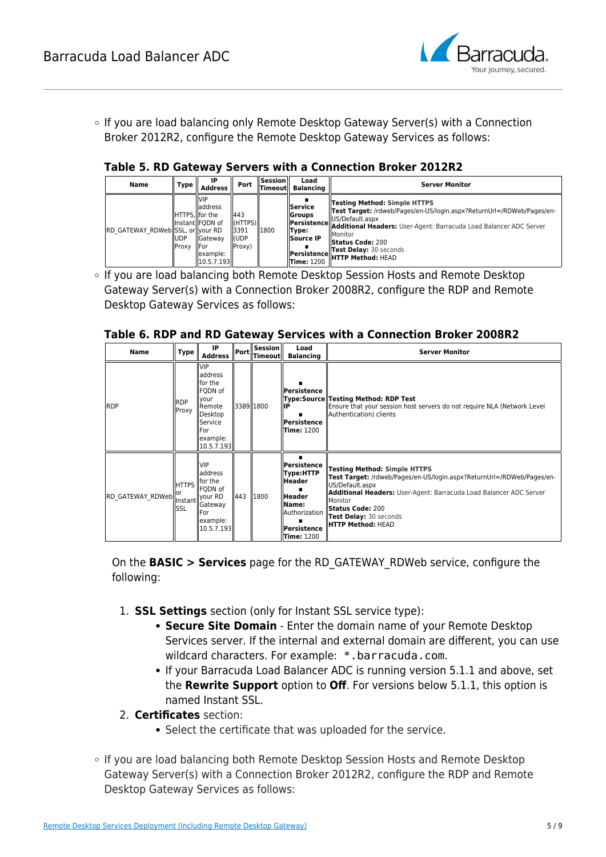![](_page_4_Picture_1.jpeg)

○ If you are load balancing only Remote Desktop Gateway Server(s) with a Connection Broker 2012R2, configure the Remote Desktop Gateway Services as follows:

#### **Table 5. RD Gateway Servers with a Connection Broker 2012R2**

| Name                             | Type           | IP<br><b>Address</b>                                                                                                 | Port                                                    | $S$ ession $\parallel$<br><b>Timeout</b> | Load<br>Balancing                                                                   | <b>Server Monitor</b>                                                                                                                                                                                                                                                                                                      |
|----------------------------------|----------------|----------------------------------------------------------------------------------------------------------------------|---------------------------------------------------------|------------------------------------------|-------------------------------------------------------------------------------------|----------------------------------------------------------------------------------------------------------------------------------------------------------------------------------------------------------------------------------------------------------------------------------------------------------------------------|
| RD GATEWAY RDWeb SSL, or your RD | IIUDP<br>Proxy | IVIP<br>laddress<br>IHTTPS.llfor the<br>llinstantllFODN of<br><b>I</b> Gateway<br>llFor<br>llexample:<br> 10.5.7.193 | 443<br>$\ $ (HTTPS) $\ $<br>13391<br>ll(UDP<br>  Proxy) | 1800                                     | <b>Service</b><br><b>I</b> Groups<br>Type:<br><b>Source IP</b><br><b>Time: 1200</b> | <b>Testing Method: Simple HTTPS</b><br>Test Target: /rdweb/Pages/en-US/login.aspx?ReturnUrl=/RDWeb/Pages/en-<br>IUS/Default.aspx<br>Persistence Additional Headers: User-Agent: Barracuda Load Balancer ADC Server<br><b>Monitor</b><br><b>Status Code: 200</b><br>Test Delay: 30 seconds<br>Persistence HTTP Method: HEAD |

o If you are load balancing both Remote Desktop Session Hosts and Remote Desktop Gateway Server(s) with a Connection Broker 2008R2, configure the RDP and Remote Desktop Gateway Services as follows:

#### **Table 6. RDP and RD Gateway Services with a Connection Broker 2008R2**

| <b>Name</b>                              | Type                       | IP<br><b>Address</b>                                                                                                            | $\ $ Port       | $ $ Session $\ $<br>$\ $ Timeout $\ $ | Load<br><b>Balancing</b>                                                                                             | <b>Server Monitor</b>                                                                                                                                                                                                                                                                                    |
|------------------------------------------|----------------------------|---------------------------------------------------------------------------------------------------------------------------------|-----------------|---------------------------------------|----------------------------------------------------------------------------------------------------------------------|----------------------------------------------------------------------------------------------------------------------------------------------------------------------------------------------------------------------------------------------------------------------------------------------------------|
| <b>RDP</b>                               | <b>RDP</b><br>Proxy        | <b>VIP</b><br>laddress<br>lfor the<br>FQDN of<br><b>your</b><br>Remote<br>Desktop<br>Service<br>lFor.<br>example:<br>10.5.7.193 |                 | 3389 1800                             | Persistence<br>⊪P<br>Persistence<br><b>Time: 1200</b>                                                                | Type:Source Testing Method: RDP Test<br>Ensure that your session host servers do not require NLA (Network Level<br>Authentication) clients                                                                                                                                                               |
| RD_GATEWAY_RDWeb  "<br> Instant  your RD | <b>HTTPS</b><br>lor<br>SSL | <b>VIP</b><br>laddress<br>llfor the<br>FQDN of<br>Gateway<br><b>IFor</b><br>example:<br> 10.5.7.193                             | $\parallel$ 443 | 1800                                  | Persistence<br>Type:HTTP<br>Header<br><b>Header</b><br>lName:<br>llAuthorization<br>Persistence<br><b>Time:</b> 1200 | <b>Testing Method: Simple HTTPS</b><br>Test Target: /rdweb/Pages/en-US/login.aspx?ReturnUrl=/RDWeb/Pages/en-<br>US/Default.aspx<br><b>Additional Headers: User-Agent: Barracuda Load Balancer ADC Server</b><br>Monitor<br><b>Status Code: 200</b><br>Test Delay: 30 seconds<br><b>HTTP Method: HEAD</b> |

On the **BASIC > Services** page for the RD\_GATEWAY\_RDWeb service, configure the following:

- 1. **SSL Settings** section (only for Instant SSL service type):
	- **Secure Site Domain** Enter the domain name of your Remote Desktop Services server. If the internal and external domain are different, you can use wildcard characters. For example: \*.barracuda.com.
	- If your Barracuda Load Balancer ADC is running version 5.1.1 and above, set the **Rewrite Support** option to **Off**. For versions below 5.1.1, this option is named Instant SSL.
- 2. **Certificates** section:
	- Select the certificate that was uploaded for the service.
- If you are load balancing both Remote Desktop Session Hosts and Remote Desktop Gateway Server(s) with a Connection Broker 2012R2, configure the RDP and Remote Desktop Gateway Services as follows: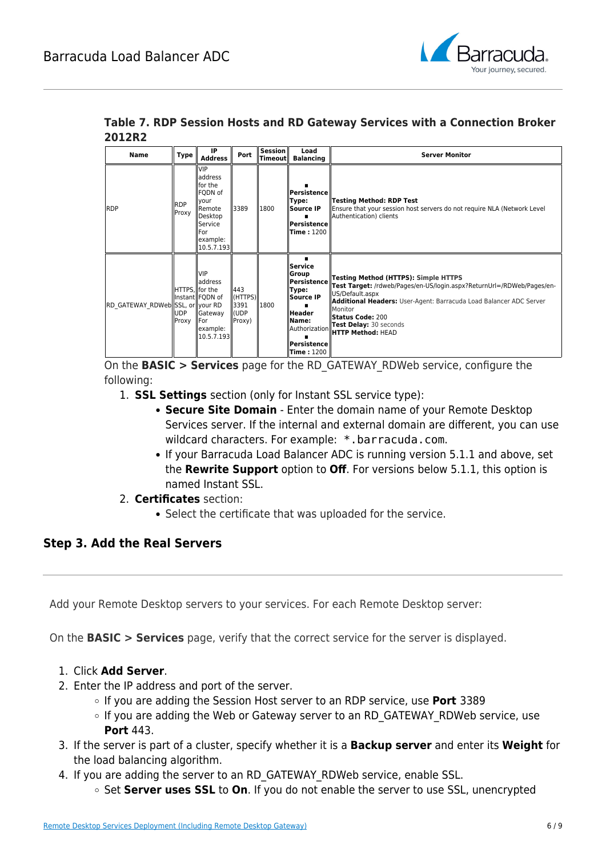![](_page_5_Picture_1.jpeg)

|        |  |  |  | Table 7. RDP Session Hosts and RD Gateway Services with a Connection Broker |  |
|--------|--|--|--|-----------------------------------------------------------------------------|--|
| 2012R2 |  |  |  |                                                                             |  |

| <b>Name</b>                      | Type                                   | IP<br><b>Address</b>                                                                                                                               | Port                                                  | Session<br>$\ $ Timeout $\ $ | Load<br><b>Balancing</b>                                                                                                      | <b>Server Monitor</b>                                                                                                                                                                                                                                                                                            |
|----------------------------------|----------------------------------------|----------------------------------------------------------------------------------------------------------------------------------------------------|-------------------------------------------------------|------------------------------|-------------------------------------------------------------------------------------------------------------------------------|------------------------------------------------------------------------------------------------------------------------------------------------------------------------------------------------------------------------------------------------------------------------------------------------------------------|
| <b>RDP</b>                       | <b>RDP</b><br>Proxy                    | <b>VIP</b><br>address<br>llfor the<br>FQDN of<br>llvour<br><b>I</b> Remote<br><b>IDesktop</b><br>Service<br><b>IFor</b><br>example:<br> 10.5.7.193 | 3389                                                  | 1800                         | Persistence<br>Type:<br>Source IP<br>Persistence<br><b>Time: 1200</b>                                                         | <b>Testing Method: RDP Test</b><br>Ensure that your session host servers do not require NLA (Network Level<br>Authentication) clients                                                                                                                                                                            |
| RD GATEWAY RDWeb SSL, or your RD | HTTPS.llfor the<br><b>UDP</b><br>Proxy | <b>VIP</b><br>laddress<br>Instant FQDN of<br>Gateway<br>llFor<br>example:<br> 10.5.7.193                                                           | 443<br>$\ $ (HTTPS) $\ $<br>13391<br>ll(UDP<br>Proxy) | 1800                         | Service<br>Group<br>Persistence<br>Type:<br>Source IP<br>Header<br>Name:<br>Authorization<br>Persistence<br><b>Time: 1200</b> | <b>Testing Method (HTTPS): Simple HTTPS</b><br>Test Target: /rdweb/Pages/en-US/login.aspx?ReturnUrl=/RDWeb/Pages/en-<br>US/Default.aspx<br><b>Additional Headers:</b> User-Agent: Barracuda Load Balancer ADC Server<br>Monitor<br><b>Status Code: 200</b><br>Test Delay: 30 seconds<br><b>HTTP Method: HEAD</b> |

On the **BASIC > Services** page for the RD\_GATEWAY\_RDWeb service, configure the following:

- 1. **SSL Settings** section (only for Instant SSL service type):
	- **Secure Site Domain** Enter the domain name of your Remote Desktop Services server. If the internal and external domain are different, you can use wildcard characters. For example: \*.barracuda.com.
	- If your Barracuda Load Balancer ADC is running version 5.1.1 and above, set the **Rewrite Support** option to **Off**. For versions below 5.1.1, this option is named Instant SSL.
- 2. **Certificates** section:
	- Select the certificate that was uploaded for the service.

### **Step 3. Add the Real Servers**

Add your Remote Desktop servers to your services. For each Remote Desktop server:

On the **BASIC > Services** page, verify that the correct service for the server is displayed.

- 1. Click **Add Server**.
- 2. Enter the IP address and port of the server.
	- If you are adding the Session Host server to an RDP service, use **Port** 3389
	- If you are adding the Web or Gateway server to an RD GATEWAY RDWeb service, use **Port** 443.
- 3. If the server is part of a cluster, specify whether it is a **Backup server** and enter its **Weight** for the load balancing algorithm.
- 4. If you are adding the server to an RD\_GATEWAY\_RDWeb service, enable SSL.
	- Set **Server uses SSL** to **On**. If you do not enable the server to use SSL, unencrypted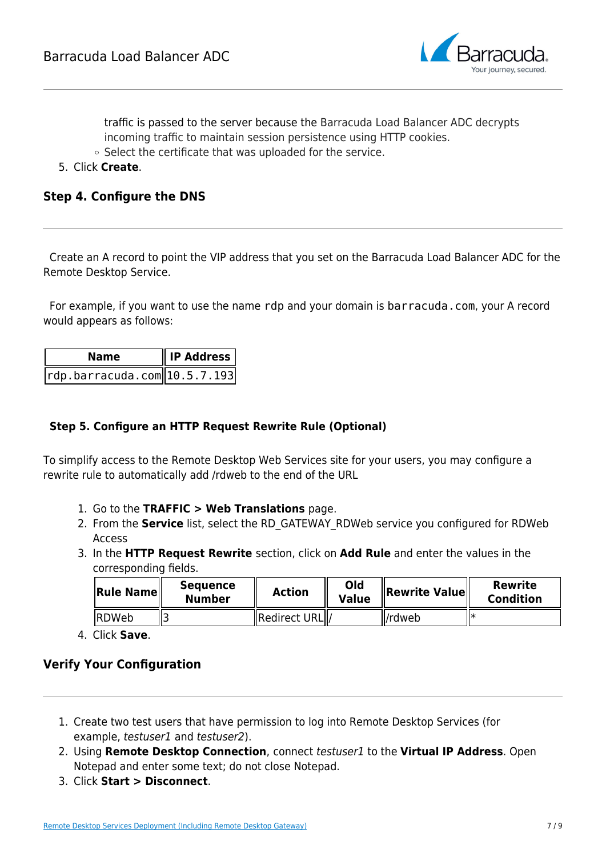![](_page_6_Picture_1.jpeg)

traffic is passed to the server because the Barracuda Load Balancer ADC decrypts incoming traffic to maintain session persistence using HTTP cookies.

- $\circ$  Select the certificate that was uploaded for the service.
- 5. Click **Create**.

### **Step 4. Configure the DNS**

Create an A record to point the VIP address that you set on the Barracuda Load Balancer ADC for the Remote Desktop Service.

For example, if you want to use the name rdp and your domain is barracuda.com, your A record would appears as follows:

| <b>Name</b>                                             | $\parallel$ IP Address |
|---------------------------------------------------------|------------------------|
| $\lvert$ rdp.barracuda.com $\lvert$ 10.5.7.193 $\lvert$ |                        |

### **Step 5. Configure an HTTP Request Rewrite Rule (Optional)**

To simplify access to the Remote Desktop Web Services site for your users, you may configure a rewrite rule to automatically add /rdweb to the end of the URL

- 1. Go to the **TRAFFIC > Web Translations** page.
- 2. From the **Service** list, select the RD\_GATEWAY\_RDWeb service you configured for RDWeb Access
- 3. In the **HTTP Request Rewrite** section, click on **Add Rule** and enter the values in the corresponding fields.

| <b>Rule Name</b> | Sequence<br><b>Number</b> | <b>Action</b>   | Old<br><b>Value</b> | $\ $ Rewrite Value $\ $ | Rewrite<br><b>Condition</b> |
|------------------|---------------------------|-----------------|---------------------|-------------------------|-----------------------------|
| <b>IRDWeb</b>    |                           | Redirect URL  / |                     | l/rdweb                 |                             |

4. Click **Save**.

### **Verify Your Configuration**

- 1. Create two test users that have permission to log into Remote Desktop Services (for example, testuser1 and testuser2).
- 2. Using **Remote Desktop Connection**, connect testuser1 to the **Virtual IP Address**. Open Notepad and enter some text; do not close Notepad.
- 3. Click **Start > Disconnect**.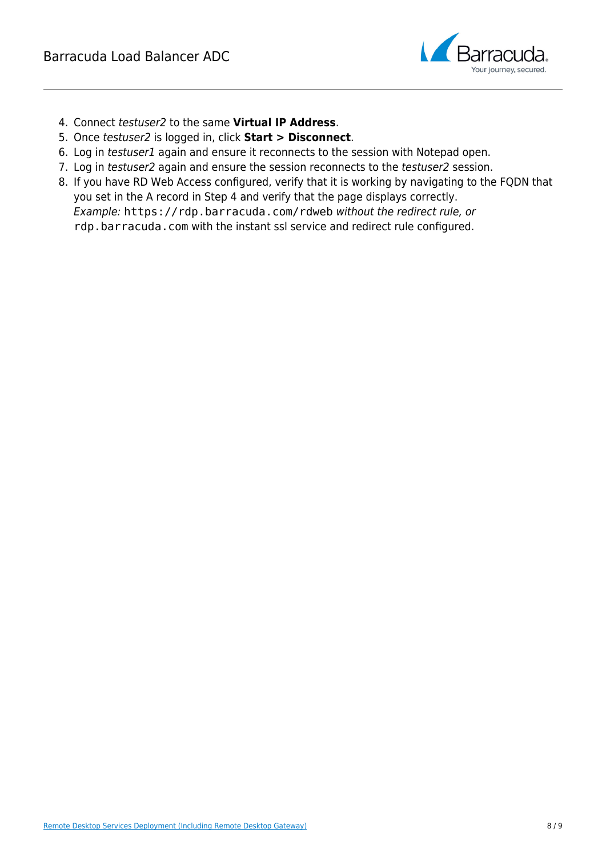![](_page_7_Picture_1.jpeg)

- 4. Connect testuser2 to the same **Virtual IP Address**.
- 5. Once testuser2 is logged in, click **Start > Disconnect**.
- 6. Log in testuser1 again and ensure it reconnects to the session with Notepad open.
- 7. Log in testuser2 again and ensure the session reconnects to the testuser2 session.
- 8. If you have RD Web Access configured, verify that it is working by navigating to the FQDN that you set in the A record in Step 4 and verify that the page displays correctly. Example: https://rdp.barracuda.com/rdweb without the redirect rule, or rdp.barracuda.com with the instant ssl service and redirect rule configured.